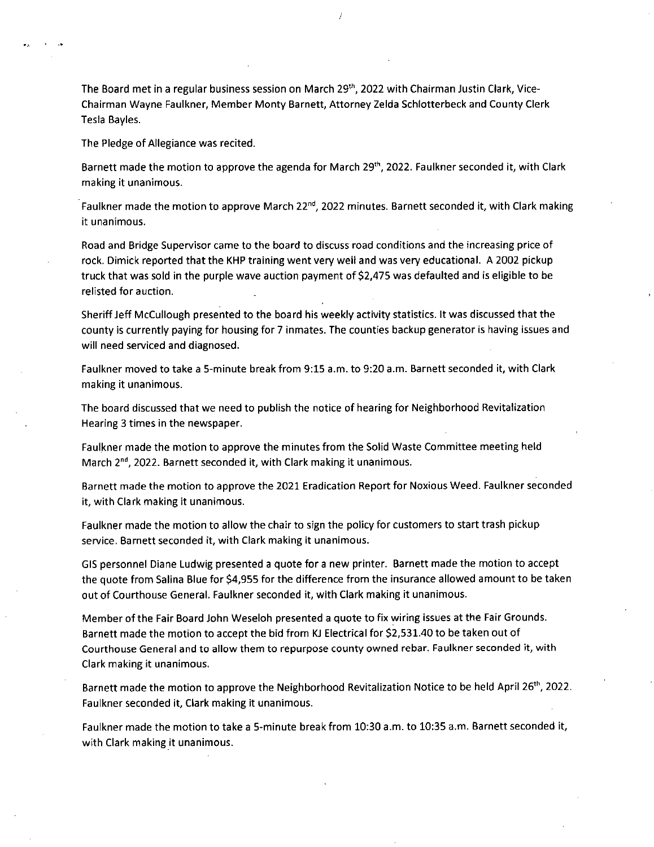The Board met in a regular business session on March 29<sup>th</sup>, 2022 with Chairman Justin Clark, Vice-Chairman Wayne Faulkner, Member Monty Barnett, Attorney Zelda Schlotterbeck and County Clerk Tesla Bayles.

The Pledge of Allegiance was recited.

Barnett made the motion to approve the agenda for March 29<sup>th</sup>, 2022. Faulkner seconded it, with Clark making it unanimous.

Faulkner made the motion to approve March 22<sup>nd</sup>, 2022 minutes. Barnett seconded it, with Clark making it unanimous.

Road and Bridge Supervisor came to the board to discuss road conditions and the increasing price of rock. Dimick reported that the KHP training went very well and was very educational. A 2002 pickup truck that was sold in the purple wave auction payment of \$2,475 was defaulted and is eligible to be relisted for auction.

Sheriff Jeff McCullough presented to the board his weekly activity statistics. It was discussed that the county is currently paying for housing for 7 inmates. The counties backup generator is having issues and will need serviced and diagnosed.

Faulkner moved to take a 5-minute break from 9:15 a.m. to 9:20 a.m. Barnett seconded it, with Clark making it unanimous.

The board discussed that we need to publish the notice of hearing for Neighborhood Revitalization Hearing 3 times in the newspaper.

Faulkner made the motion to approve the minutes from the Solid Waste Committee meeting held March 2<sup>nd</sup>, 2022. Barnett seconded it, with Clark making it unanimous.

Barnett made the motion to approve the 2021 Eradication Report for Noxious Weed. Faulkner seconded it, with Clark making it unanimous.

Faulkner made the motion to allow the chair to sign the policy for customers to start trash pickup service. Barnett seconded it, with Clark making it unanimous.

GIS personnel Diane Ludwig presented a quote for a new printer. Barnett made the motion to accept the quote from Salina Blue for \$4,955 for the difference from the insurance allowed amount to be taken out of Courthouse General. Faulkner seconded it, with Clark making it unanimous.

Member of the Fair Board John Weseloh presented a quote to fix wiring issues at the Fair Grounds. Barnett made the motion to accept the bid from KJ Electrical for \$2,531.40 to be taken out of Courthouse General and to allow them to repurpose county owned rebar. Faulkner seconded it, with Clark making it unanimous.

Barnett made the motion to approve the Neighborhood Revitalization Notice to be held April 26<sup>th</sup>, 2022. Faulkner seconded it, Clark making it unanimous.

Faulkner made the motion to take a 5-minute break from 10:30 a.m. to 10:35 a.m. Barnett seconded it, with Clark making it unanimous.